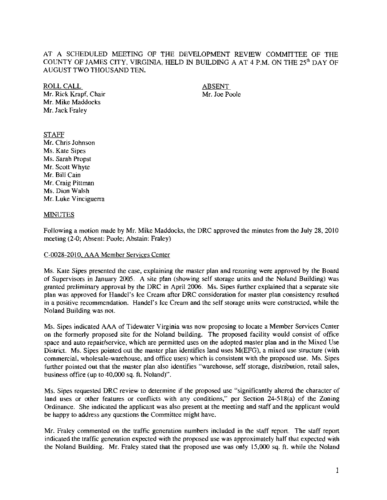## AT A SCHEDULED MEETING OF THE DEVELOPMENT REVIEW COMMITTEE OF THE COUNTY OF JAMES CITY, VIRGINIA, HELD IN BUILDING A AT 4 P.M. ON THE  $25<sup>th</sup>$  DAY OF AUGUST TWO THOUSAND TEN.

ROLL CALL ABSENT

Mr. Rick Krapf, Chair Mr. Joe Poole Mr. Mike Maddocks Mr, Jack Fraley

# STAFF

Mr. Chris Johnson Ms, Kate Sipes Ms, Sarah Propst Mr, Scott Whyte Mr. Bill Cain Mr. Craig Pittman Ms, Dion Walsh Mr. Luke Vinciguerra

## MINUTES

Following a motion made by Mr, Mike Maddocks. the DRC approved the minutes from the July 28, 2010 meeting (2-0; Absent: Poole; Abstain: Fraley)

## (:-002&-2]10. AAA Member Services Center

Ms, Kate Sipes presented the case, explaining the master plan and rezoning were approved by the Board of Supervisors in January 2005, A site plan (showing self storage units and the Noland Building) was granted preliminary approval by the DRC in April 2006, Ms. Sipes further explained that a separate site plan was approved for Handel's Ice Cream after DRC consideration for master plan consistency resulted in a positive recommendation, Handel's Ice Cream and the self storage units were constructed, while the Noland Building was not.

Ms, Sipes indicated AAA of Tidewater Virginia was now proposing to locate a Member Services Center on the fonnerly proposed site for the Noland building, The proposed facility would consist of office space and auto repair/service, which are permitted uses on the adopted master plan and in the Mixed Use District. Ms. Sipes pointed out the master plan identifies land uses M(EFG), a mixed use structure (with commercial. wholesale-warehouse, and office uses) which is consistent with the proposed use, Ms. Sipes further pointed out that the master plan also identifies "warehouse, self storage, distribution, retail sales, business office (up to 40,000 sq. fL NOland)".

Ms, Sipes requested DRC review to determine if the proposed use "significantly altered the character of land uses or other features or conflicts with any conditions," per Section 24-518(a) of the Zoning Ordinance, She indicated the applicant was also present at the meeting and staff and the applicant would be happy to address any questions the Committee might have,

Mr. Fraley commented on the traffic generation numbers included in the staff report. The staff report indicated the traffic generation expected with the proposed use was approximately half that expected with the Noland Building, Mr. Fraley stated that the proposed use was only 15,000 sq, ft. while the Noland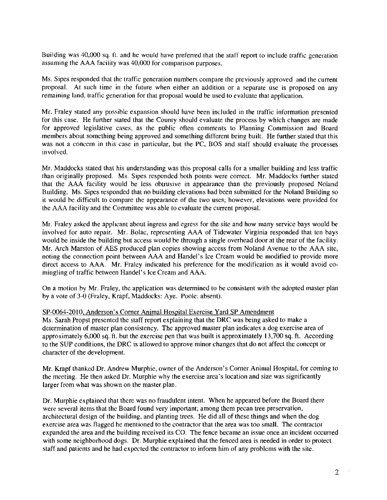Building was 40,000 sq. ft. and he would have preferred that the staff report to include traffic generation assuming the AAA facility was 40,000 for comparison purposes.

Ms, Sipes responded that the traffic generation numbers compare the previously approved and the current proposaL At such time in the future when either an addition or a separate use is proposed on any remaining land, traffic generation for that proposal would be used to evaluate that application,

Mr. Fraley stated any possible expansion should have been included in the traffic information presented for this case. He further stated that the County should evaluate the process by which changes are made for approved legislative cases, as the public often comments to Planning Commission and Board members about something being approved and something different being built. He further stated that this was not a concern in this case in particular, but the PC, BOS and staff should evaluate the processes involved,

Mr. Maddocks stated that his understanding was this proposal calls for a smaller building and less traffic than originally proposed, Ms, Sipes responded both points were correct. Mr. Maddocks further stated that the AAA facility would be less obtrusive in appearance than the previously proposed Noland Building. Ms, Sipes responded that no building elevations had been submitted for the Noland Building so it would be difficult to compare the appearance of the two uses; however, elevations were provided for the AAA facility and the Committee was able to evaluate the current proposal.

Mr. Fraley asked the applicant about ingress and egress for the site and how many service bays would be involved for auto repair. Mr. Bolac, representing AAA of Tidewater Virginia responded that ten bays would be inside the building but access would be through a single overhead door at the rear of the facility. Mr. Arch Marston of AES produced plan copies showing access from Noland Avenue to the AAA site, noting the connection point between AAA and Handel's Ice Cream would be modified to provide more direct access to AAA. Mr. Fraley indicated his preference for the modification as it would avoid comingling of traffic between Handel's Ice Cream and AAA.

On a motion by Mr. Fraley, the application was detennined to be consistent with the adopted master plan by a vote of 3-0 (Fraley, Krapf, Maddocks: Aye. Poole: absent).

#### SP-0064-201O, Anderson's Comer Animal Hospital Exercise Yard SP Amendment

Ms. Sarah Propst presented the staff report explaining that the DRC was being asked to make a determination of master plan consistency. The approved master plan indicates a dog exercise area of approximately 6,000 sq. ft. but the exereise pen that was built is approximately 13,700 sq. ft. According to the SUP conditions, the DRC is allowed to approve minor changes that do not affect the concept or character of the development.

Mr. Krapf thanked Dr. Andrew Murphie, owner of the Anderson's Corner Animal Hospital, for coming to the meeting, He then asked Dr. Murphie why the exercise area's location and size was significantly larger from what was shown on the master plan.

Dr. Murphie explained that there was no fraudulent intent. When he appeared before the Board there were several items that the Board found very important; among them pecan tree preservation, architectural design of the building. and planting trees, He did all of these things and when the dog exereise area was flagged he mentioned to the contractor that the area was too small. The contractor expanded the area and the building received its CO. The fence became an issue once an incident occurred with some neighborhood dogs. Dr. Murphie explained that the fenced area is needed in order to protect staff and patients and he had expected the contractor to inform him of any problems with the site.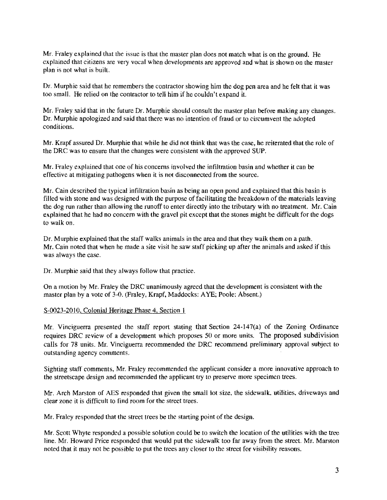Mr. Fraley explained that the issue is that the master plan does not match what is on the ground. He explained that citizens are very vocal when developments are approved and what is shown on the master plan is not what is built.

Dr. Murphic said that he remembers the contractor showing him the dog pen area and he felt that it was too small. He relied on the contractor to tell him if he couldn't expand it.

Mr. Fraley said that in the future Dr. Murphic should consult the master plan before making any changes. Dr. Murphie apologized and said that there was no intention of fraud or to circumvent the adopted conditions.

Mr. Krapf assured Dr. Murphie that while he did not think that was the case, he reiterated that the role of the DRC was to ensure that the changes were consistent with the approved SUP.

Mr. Fraley explained that one of his concerns involved the infiltration basin and whether it can be effective at mitigating pathogens when it is not disconnected from the source.

Mr. Cain described the typical infiltration basin as being an open pond and explained that this basin is filled with stone and was designed with the purpose of facilitating the breakdown of the materials leaving the dog run rather than allowing the runoff to enter directly into the tributary with no treatment. Mr. Cain explained that he had no concern with the gravel pit except that the stones might be difficult for the dogs to walk on.

Dr. Murphie explained that the staff walks animals in the area and that they walk them on a path. Mr. Cain noted that when he made a site visit he saw staff picking up after the animals and asked if this was always the case.

Dr. Murphie said that they always follow that practice.

On a motion by Mr. Fraley the DRC unanimously agreed that the development is consistent with the master plan by a vote of 3-0. (Fraley, Krapf, Maddocks: AYE; Poole: Absent.)

#### S-0023-2010, Colonial Heritage Phase 4, Section 1

Mr. Vinciguerra presented the staff report stating that Section 24-147(a) of the Zoning Ordinance requires DRC review of a development which proposes 50 or more units. The proposed subdivision calls for 78 units. Mr. Vinciguerra recommended the DRC recommend preliminary approval subject to outstanding agency comments.

Sighting staff comments, Mr. Fraley recommended the applicant consider a more innovative approach 10 the streetscape design and recommended the applicant try to preserve more specimen trees.

Mr. Arch Marston of AES responded that given the small lot size, the sidewalk, utilities, driveways and clear zone it is difficult to find room for the street trees.

Mr. Fraley responded that the street trees be the starting point of the design.

Mr. Scott Whyte responded a possible solution could be to switch the location of the utilities with the tree line. Mr. Howard Price responded that would put the sidewalk too far away from the street. Mr. Marston noted that it may not be possible to put the trees any closer to the street for visibility reasons.